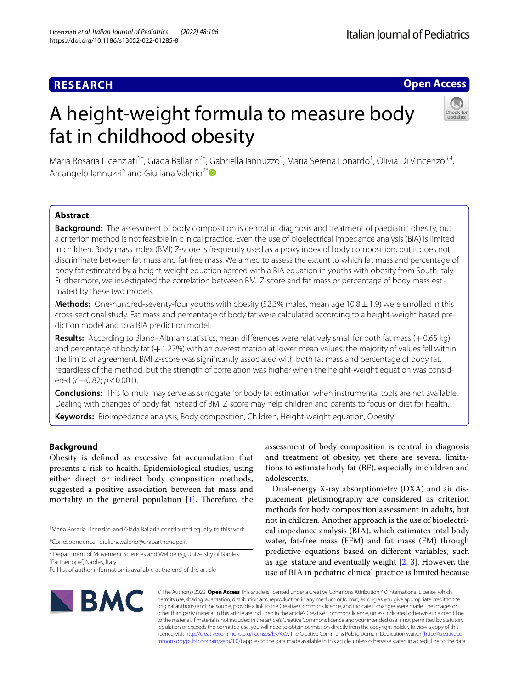# **RESEARCH**

# **Open Access**

# A height-weight formula to measure body fat in childhood obesity



Maria Rosaria Licenziati<sup>1†</sup>, Giada Ballarin<sup>2†</sup>, Gabriella lannuzzo<sup>3</sup>, Maria Serena Lonardo<sup>1</sup>, Olivia Di Vincenzo<sup>3,4</sup>, Arcangelo Iannuzzi<sup>5</sup> and Giuliana Valerio<sup>2\*</sup>

## **Abstract**

**Background:** The assessment of body composition is central in diagnosis and treatment of paediatric obesity, but a criterion method is not feasible in clinical practice. Even the use of bioelectrical impedance analysis (BIA) is limited in children. Body mass index (BMI) Z-score is frequently used as a proxy index of body composition, but it does not discriminate between fat mass and fat-free mass. We aimed to assess the extent to which fat mass and percentage of body fat estimated by a height-weight equation agreed with a BIA equation in youths with obesity from South Italy. Furthermore, we investigated the correlation between BMI Z-score and fat mass or percentage of body mass estimated by these two models.

**Methods:** One-hundred-seventy-four youths with obesity (52.3% males, mean age 10.8  $\pm$  1.9) were enrolled in this cross-sectional study. Fat mass and percentage of body fat were calculated according to a height-weight based prediction model and to a BIA prediction model.

**Results:** According to Bland–Altman statistics, mean diferences were relatively small for both fat mass (+0.65 kg) and percentage of body fat (+1.27%) with an overestimation at lower mean values; the majority of values fell within the limits of agreement. BMI Z-score was signifcantly associated with both fat mass and percentage of body fat, regardless of the method, but the strength of correlation was higher when the height-weight equation was considered (*r*=0.82; *p*<0.001).

**Conclusions:** This formula may serve as surrogate for body fat estimation when instrumental tools are not available. Dealing with changes of body fat instead of BMI Z-score may help children and parents to focus on diet for health.

**Keywords:** Bioimpedance analysis, Body composition, Children, Height-weight equation, Obesity

### **Background**

Obesity is defned as excessive fat accumulation that presents a risk to health. Epidemiological studies, using either direct or indirect body composition methods, suggested a positive association between fat mass and mortality in the general population  $[1]$  $[1]$ . Therefore, the

† Maria Rosaria Licenziati and Giada Ballarin contributed equally to this work.

\*Correspondence: giuliana.valerio@uniparthenope.it

<sup>2</sup> Department of Movement Sciences and Wellbeing, University of Naples "Parthenope", Naples, Italy

assessment of body composition is central in diagnosis and treatment of obesity, yet there are several limitations to estimate body fat (BF), especially in children and adolescents.

Dual-energy X-ray absorptiometry (DXA) and air displacement pletismography are considered as criterion methods for body composition assessment in adults, but not in children. Another approach is the use of bioelectrical impedance analysis (BIA), which estimates total body water, fat-free mass (FFM) and fat mass (FM) through predictive equations based on diferent variables, such as age, stature and eventually weight [\[2](#page-6-1), [3](#page-6-2)]. However, the use of BIA in pediatric clinical practice is limited because



© The Author(s) 2022. **Open Access** This article is licensed under a Creative Commons Attribution 4.0 International License, which permits use, sharing, adaptation, distribution and reproduction in any medium or format, as long as you give appropriate credit to the original author(s) and the source, provide a link to the Creative Commons licence, and indicate if changes were made. The images or other third party material in this article are included in the article's Creative Commons licence, unless indicated otherwise in a credit line to the material. If material is not included in the article's Creative Commons licence and your intended use is not permitted by statutory regulation or exceeds the permitted use, you will need to obtain permission directly from the copyright holder. To view a copy of this licence, visit [http://creativecommons.org/licenses/by/4.0/.](http://creativecommons.org/licenses/by/4.0/) The Creative Commons Public Domain Dedication waiver ([http://creativeco](http://creativecommons.org/publicdomain/zero/1.0/) [mmons.org/publicdomain/zero/1.0/](http://creativecommons.org/publicdomain/zero/1.0/)) applies to the data made available in this article, unless otherwise stated in a credit line to the data.

Full list of author information is available at the end of the article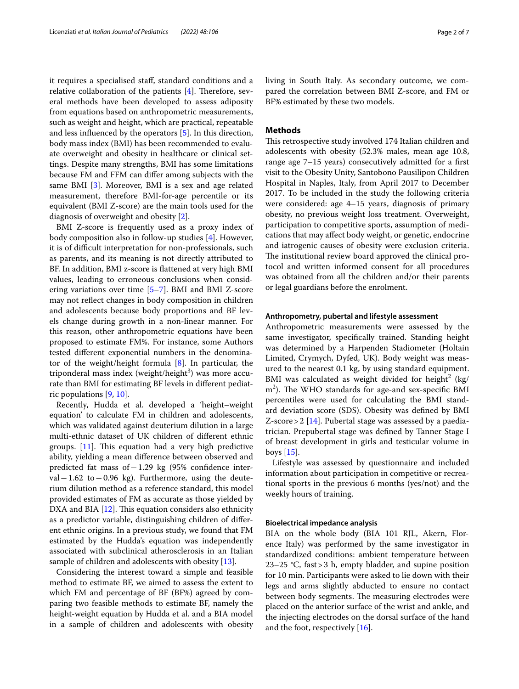it requires a specialised staf, standard conditions and a relative collaboration of the patients  $[4]$  $[4]$ . Therefore, several methods have been developed to assess adiposity from equations based on anthropometric measurements, such as weight and height, which are practical, repeatable and less infuenced by the operators [\[5](#page-6-4)]. In this direction, body mass index (BMI) has been recommended to evaluate overweight and obesity in healthcare or clinical settings. Despite many strengths, BMI has some limitations because FM and FFM can difer among subjects with the same BMI [\[3](#page-6-2)]. Moreover, BMI is a sex and age related measurement, therefore BMI-for-age percentile or its equivalent (BMI Z-score) are the main tools used for the diagnosis of overweight and obesity [[2](#page-6-1)].

BMI Z-score is frequently used as a proxy index of body composition also in follow-up studies [\[4](#page-6-3)]. However, it is of difficult interpretation for non-professionals, such as parents, and its meaning is not directly attributed to BF. In addition, BMI z-score is fattened at very high BMI values, leading to erroneous conclusions when considering variations over time [[5–](#page-6-4)[7\]](#page-6-5). BMI and BMI Z-score may not refect changes in body composition in children and adolescents because body proportions and BF levels change during growth in a non-linear manner. For this reason, other anthropometric equations have been proposed to estimate FM%. For instance, some Authors tested diferent exponential numbers in the denominator of the weight/height formula [[8\]](#page-6-6). In particular, the triponderal mass index (weight/height $^3$ ) was more accurate than BMI for estimating BF levels in diferent pediatric populations [[9,](#page-6-7) [10](#page-6-8)].

Recently, Hudda et al. developed a 'height–weight equation' to calculate FM in children and adolescents, which was validated against deuterium dilution in a large multi-ethnic dataset of UK children of diferent ethnic groups.  $[11]$  $[11]$ . This equation had a very high predictive ability, yielding a mean diference between observed and predicted fat mass of−1.29 kg (95% confdence interval−1.62 to−0.96 kg). Furthermore, using the deuterium dilution method as a reference standard, this model provided estimates of FM as accurate as those yielded by DXA and BIA  $[12]$  $[12]$ . This equation considers also ethnicity as a predictor variable, distinguishing children of diferent ethnic origins. In a previous study, we found that FM estimated by the Hudda's equation was independently associated with subclinical atherosclerosis in an Italian sample of children and adolescents with obesity [\[13](#page-6-11)].

Considering the interest toward a simple and feasible method to estimate BF, we aimed to assess the extent to which FM and percentage of BF (BF%) agreed by comparing two feasible methods to estimate BF, namely the height-weight equation by Hudda et al. and a BIA model in a sample of children and adolescents with obesity living in South Italy. As secondary outcome, we compared the correlation between BMI Z-score, and FM or BF% estimated by these two models.

#### **Methods**

This retrospective study involved 174 Italian children and adolescents with obesity (52.3% males, mean age 10.8, range age 7–15 years) consecutively admitted for a frst visit to the Obesity Unity, Santobono Pausilipon Children Hospital in Naples, Italy, from April 2017 to December 2017. To be included in the study the following criteria were considered: age 4–15 years, diagnosis of primary obesity, no previous weight loss treatment. Overweight, participation to competitive sports, assumption of medications that may afect body weight, or genetic, endocrine and iatrogenic causes of obesity were exclusion criteria. The institutional review board approved the clinical protocol and written informed consent for all procedures was obtained from all the children and/or their parents or legal guardians before the enrolment.

#### **Anthropometry, pubertal and lifestyle assessment**

Anthropometric measurements were assessed by the same investigator, specifcally trained. Standing height was determined by a Harpenden Stadiometer (Holtain Limited, Crymych, Dyfed, UK). Body weight was measured to the nearest 0.1 kg, by using standard equipment. BMI was calculated as weight divided for height<sup>2</sup> (kg/ m<sup>2</sup>). The WHO standards for age-and sex-specific BMI percentiles were used for calculating the BMI standard deviation score (SDS). Obesity was defned by BMI Z-score  $>2$  [[14\]](#page-6-12). Pubertal stage was assessed by a paediatrician. Prepubertal stage was defned by Tanner Stage I of breast development in girls and testicular volume in boys  $[15]$  $[15]$ .

Lifestyle was assessed by questionnaire and included information about participation in competitive or recreational sports in the previous 6 months (yes/not) and the weekly hours of training.

#### **Bioelectrical impedance analysis**

BIA on the whole body (BIA 101 RJL, Akern, Florence Italy) was performed by the same investigator in standardized conditions: ambient temperature between 23–25 °C, fast>3 h, empty bladder, and supine position for 10 min. Participants were asked to lie down with their legs and arms slightly abducted to ensure no contact between body segments. The measuring electrodes were placed on the anterior surface of the wrist and ankle, and the injecting electrodes on the dorsal surface of the hand and the foot, respectively [[16\]](#page-6-14).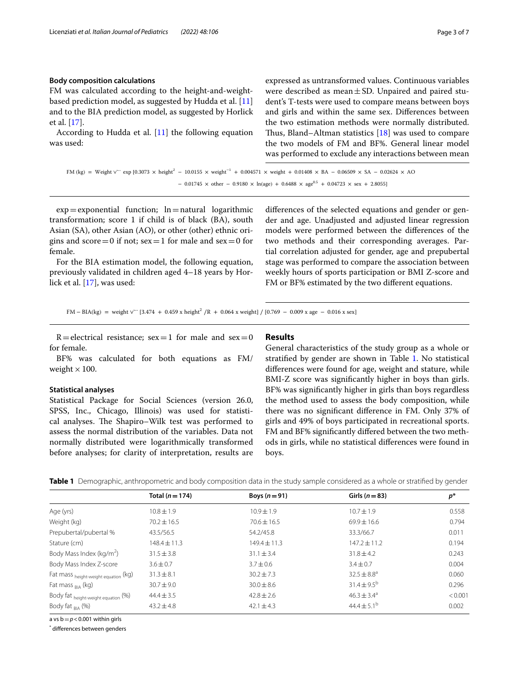#### **Body composition calculations**

FM was calculated according to the height-and-weightbased prediction model, as suggested by Hudda et al. [[11](#page-6-9)] and to the BIA prediction model, as suggested by Horlick et al. [[17](#page-6-15)].

According to Hudda et al. [\[11](#page-6-9)] the following equation was used:

expressed as untransformed values. Continuous variables were described as mean $\pm$ SD. Unpaired and paired student's T-tests were used to compare means between boys and girls and within the same sex. Diferences between the two estimation methods were normally distributed. Thus, Bland–Altman statistics  $[18]$  $[18]$  was used to compare the two models of FM and BF%. General linear model was performed to exclude any interactions between mean

```
FM (kg) = Weight \sqrt{^\sim} exp [0.3073 × height<sup>2</sup> − 10.0155 × weight<sup>-1</sup> + 0.004571 × weight + 0.01408 × BA − 0.06509 × SA − 0.02624 × AO
                                      - 0.01745 × other - 0.9180 × ln(age) + 0.6488 × age<sup>0.5</sup> + 0.04723 × sex + 2.8055]
```
 $exp = exponential$  function;  $ln = natural$  logarithmic transformation; score 1 if child is of black (BA), south Asian (SA), other Asian (AO), or other (other) ethnic origins and score=0 if not;  $sex=1$  for male and  $sex=0$  for female.

For the BIA estimation model, the following equation, previously validated in children aged 4–18 years by Horlick et al. [\[17](#page-6-15)], was used:

diferences of the selected equations and gender or gender and age. Unadjusted and adjusted linear regression models were performed between the diferences of the two methods and their corresponding averages. Partial correlation adjusted for gender, age and prepubertal stage was performed to compare the association between weekly hours of sports participation or BMI Z-score and FM or BF% estimated by the two diferent equations.

FM – BIA(kg) = weight  $V^{\prime\prime}$  [3.474 + 0.459 x height<sup>2</sup> /R + 0.064 x weight] / [0.769 – 0.009 x age – 0.016 x sex]

 $R =$ electrical resistance; sex = 1 for male and sex = 0 for female.

BF% was calculated for both equations as FM/ weight  $\times$  100.

#### **Statistical analyses**

Statistical Package for Social Sciences (version 26.0, SPSS, Inc., Chicago, Illinois) was used for statistical analyses. The Shapiro–Wilk test was performed to assess the normal distribution of the variables. Data not normally distributed were logarithmically transformed before analyses; for clarity of interpretation, results are

#### **Results**

General characteristics of the study group as a whole or stratifed by gender are shown in Table [1](#page-2-0). No statistical diferences were found for age, weight and stature, while BMI-Z score was signifcantly higher in boys than girls. BF% was signifcantly higher in girls than boys regardless the method used to assess the body composition, while there was no signifcant diference in FM. Only 37% of girls and 49% of boys participated in recreational sports. FM and BF% signifcantly difered between the two methods in girls, while no statistical diferences were found in boys.

<span id="page-2-0"></span>

|  | Table 1 Demographic, anthropometric and body composition data in the study sample considered as a whole or stratified by gender |  |  |  |
|--|---------------------------------------------------------------------------------------------------------------------------------|--|--|--|
|  |                                                                                                                                 |  |  |  |

|                                      | Total $(n=174)$  | Boys $(n=91)$    | Girls $(n=83)$         | $p^*$   |
|--------------------------------------|------------------|------------------|------------------------|---------|
| Age (yrs)                            | $10.8 \pm 1.9$   | $10.9 \pm 1.9$   | $10.7 \pm 1.9$         | 0.558   |
| Weight (kg)                          | $70.2 \pm 16.5$  | $70.6 \pm 16.5$  | $69.9 + 16.6$          | 0.794   |
| Prepubertal/pubertal%                | 43.5/56.5        | 54.2/45.8        | 33.3/66.7              | 0.011   |
| Stature (cm)                         | $148.4 \pm 11.3$ | $149.4 \pm 11.3$ | $147.2 \pm 11.2$       | 0.194   |
| Body Mass Index (kg/m <sup>2</sup> ) | $31.5 \pm 3.8$   | $31.1 \pm 3.4$   | $31.8 \pm 4.2$         | 0.243   |
| Body Mass Index Z-score              | $3.6 \pm 0.7$    | $3.7 \pm 0.6$    | $3.4 \pm 0.7$          | 0.004   |
| Fat mass height-weight equation (kg) | $31.3 \pm 8.1$   | $30.2 \pm 7.3$   | $32.5 \pm 8.8^a$       | 0.060   |
| Fat mass $_{RIA}$ (kg)               | $30.7 \pm 9.0$   | $30.0 \pm 8.6$   | $31.4 \pm 9.5^{b}$     | 0.296   |
| Body fat height-weight equation (%)  | $44.4 \pm 3.5$   | $42.8 \pm 2.6$   | $46.3 \pm 3.4^{\circ}$ | < 0.001 |
| Body fat $_{RIA}$ (%)                | $43.2 \pm 4.8$   | $42.1 \pm 4.3$   | $44.4 \pm 5.1^{b}$     | 0.002   |

a vs  $b = p < 0.001$  within girls

\* diferences between genders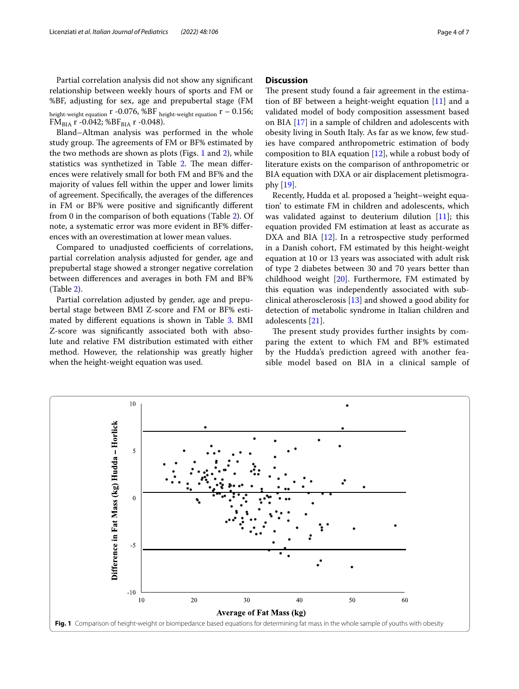Partial correlation analysis did not show any signifcant relationship between weekly hours of sports and FM or %BF, adjusting for sex, age and prepubertal stage (FM height-weight equation  $r -0.076$ , %BF height-weight equation  $r -0.156$ ;  $\overline{FM}_{BIA}$  r -0.042; %BF<sub>BIA</sub> r -0.048).

Bland–Altman analysis was performed in the whole study group. The agreements of FM or BF% estimated by the two methods are shown as plots (Figs. [1](#page-3-0) and [2\)](#page-4-0), while statistics was synthetized in Table [2.](#page-4-1) The mean differences were relatively small for both FM and BF% and the majority of values fell within the upper and lower limits of agreement. Specifcally, the averages of the diferences in FM or BF% were positive and signifcantly diferent from 0 in the comparison of both equations (Table [2\)](#page-4-1). Of note, a systematic error was more evident in BF% diferences with an overestimation at lower mean values.

Compared to unadjusted coefficients of correlations, partial correlation analysis adjusted for gender, age and prepubertal stage showed a stronger negative correlation between diferences and averages in both FM and BF% (Table [2](#page-4-1)).

Partial correlation adjusted by gender, age and prepubertal stage between BMI Z-score and FM or BF% esti-mated by different equations is shown in Table [3](#page-4-2). BMI Z-score was signifcantly associated both with absolute and relative FM distribution estimated with either method. However, the relationship was greatly higher when the height-weight equation was used.

#### **Discussion**

The present study found a fair agreement in the estimation of BF between a height-weight equation [\[11\]](#page-6-9) and a validated model of body composition assessment based on BIA [\[17](#page-6-15)] in a sample of children and adolescents with obesity living in South Italy. As far as we know, few studies have compared anthropometric estimation of body composition to BIA equation [[12\]](#page-6-10), while a robust body of literature exists on the comparison of anthropometric or BIA equation with DXA or air displacement pletismography [\[19](#page-6-17)].

Recently, Hudda et al. proposed a 'height–weight equation' to estimate FM in children and adolescents, which was validated against to deuterium dilution  $[11]$  $[11]$ ; this equation provided FM estimation at least as accurate as DXA and BIA [[12\]](#page-6-10). In a retrospective study performed in a Danish cohort, FM estimated by this height-weight equation at 10 or 13 years was associated with adult risk of type 2 diabetes between 30 and 70 years better than childhood weight  $[20]$ . Furthermore, FM estimated by this equation was independently associated with subclinical atherosclerosis [[13\]](#page-6-11) and showed a good ability for detection of metabolic syndrome in Italian children and adolescents [\[21](#page-6-19)].

The present study provides further insights by comparing the extent to which FM and BF% estimated by the Hudda's prediction agreed with another feasible model based on BIA in a clinical sample of

<span id="page-3-0"></span>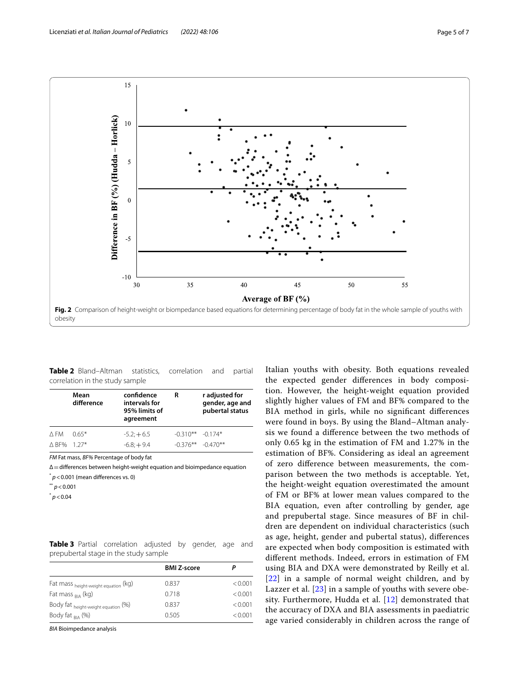

<span id="page-4-1"></span><span id="page-4-0"></span>**Table 2** Bland–Altman statistics, correlation and partial correlation in the study sample

|             | Mean<br>difference | confidence<br>intervals for<br>95% limits of<br>agreement | R                    | r adjusted for<br>gender, age and<br>pubertal status |
|-------------|--------------------|-----------------------------------------------------------|----------------------|------------------------------------------------------|
| $\wedge$ FM | $0.65*$            | $-5.2: +6.5$                                              | $-0.310**$ $-0.174*$ |                                                      |
| A BF% 1.27* |                    | $-6.8: +9.4$                                              |                      | $-0.376***$ $-0.470**$                               |
|             |                    |                                                           |                      |                                                      |

*FM* Fat mass, *BF%* Percentage of body fat

Δ=diferences between height-weight equation and bioimpedance equation

 $p < 0.001$  (mean differences vs. 0)

 $p$  < 0.001

 $p$  < 0.04

<span id="page-4-2"></span>

|  | <b>Table 3</b> Partial correlation adjusted by gender, age and |  |  |  |
|--|----------------------------------------------------------------|--|--|--|
|  | prepubertal stage in the study sample                          |  |  |  |

|                                      | <b>BMI Z-score</b> |         |
|--------------------------------------|--------------------|---------|
| Fat mass height-weight equation (kg) | 0.837              | < 0.001 |
| Fat mass $_{RIA}$ (kg)               | 0.718              | < 0.001 |
| Body fat height-weight equation (%)  | 0.837              | < 0.001 |
| Body fat $_{RIA}$ (%)                | 0.505              | < 0.001 |

*BIA* Bioimpedance analysis

Italian youths with obesity. Both equations revealed the expected gender diferences in body composition. However, the height-weight equation provided slightly higher values of FM and BF% compared to the BIA method in girls, while no signifcant diferences were found in boys. By using the Bland–Altman analysis we found a diference between the two methods of only 0.65 kg in the estimation of FM and 1.27% in the estimation of BF%. Considering as ideal an agreement of zero diference between measurements, the comparison between the two methods is acceptable. Yet, the height-weight equation overestimated the amount of FM or BF% at lower mean values compared to the BIA equation, even after controlling by gender, age and prepubertal stage. Since measures of BF in children are dependent on individual characteristics (such as age, height, gender and pubertal status), diferences are expected when body composition is estimated with diferent methods. Indeed, errors in estimation of FM using BIA and DXA were demonstrated by Reilly et al. [[22](#page-6-20)] in a sample of normal weight children, and by Lazzer et al. [[23\]](#page-6-21) in a sample of youths with severe obesity. Furthermore, Hudda et al. [[12\]](#page-6-10) demonstrated that the accuracy of DXA and BIA assessments in paediatric age varied considerably in children across the range of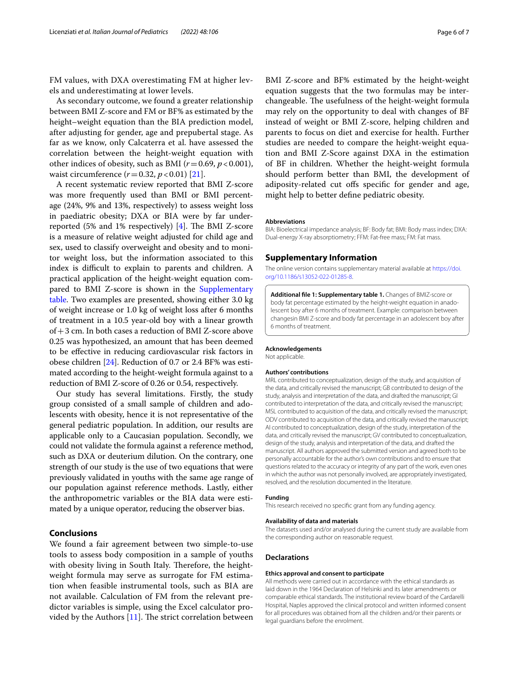FM values, with DXA overestimating FM at higher levels and underestimating at lower levels.

As secondary outcome, we found a greater relationship between BMI Z-score and FM or BF% as estimated by the height–weight equation than the BIA prediction model, after adjusting for gender, age and prepubertal stage. As far as we know, only Calcaterra et al. have assessed the correlation between the height-weight equation with other indices of obesity, such as BMI  $(r=0.69, p<0.001)$ , waist circumference  $(r=0.32, p<0.01)$  [\[21](#page-6-19)].

A recent systematic review reported that BMI Z-score was more frequently used than BMI or BMI percentage (24%, 9% and 13%, respectively) to assess weight loss in paediatric obesity; DXA or BIA were by far underreported  $(5\%$  and  $1\%$  respectively) [\[4](#page-6-3)]. The BMI Z-score is a measure of relative weight adjusted for child age and sex, used to classify overweight and obesity and to monitor weight loss, but the information associated to this index is difficult to explain to parents and children. A practical application of the height-weight equation compared to BMI Z-score is shown in the Supplementary [table](#page-5-0). Two examples are presented, showing either 3.0 kg of weight increase or 1.0 kg of weight loss after 6 months of treatment in a 10.5 year-old boy with a linear growth of+3 cm. In both cases a reduction of BMI Z-score above 0.25 was hypothesized, an amount that has been deemed to be efective in reducing cardiovascular risk factors in obese children [[24](#page-6-22)]. Reduction of 0.7 or 2.4 BF% was estimated according to the height-weight formula against to a reduction of BMI Z-score of 0.26 or 0.54, respectively.

Our study has several limitations. Firstly, the study group consisted of a small sample of children and adolescents with obesity, hence it is not representative of the general pediatric population. In addition, our results are applicable only to a Caucasian population. Secondly, we could not validate the formula against a reference method, such as DXA or deuterium dilution. On the contrary, one strength of our study is the use of two equations that were previously validated in youths with the same age range of our population against reference methods. Lastly, either the anthropometric variables or the BIA data were estimated by a unique operator, reducing the observer bias.

#### **Conclusions**

We found a fair agreement between two simple-to-use tools to assess body composition in a sample of youths with obesity living in South Italy. Therefore, the heightweight formula may serve as surrogate for FM estimation when feasible instrumental tools, such as BIA are not available. Calculation of FM from the relevant predictor variables is simple, using the Excel calculator provided by the Authors  $[11]$  $[11]$ . The strict correlation between

BMI Z-score and BF% estimated by the height-weight equation suggests that the two formulas may be interchangeable. The usefulness of the height-weight formula may rely on the opportunity to deal with changes of BF instead of weight or BMI Z-score, helping children and parents to focus on diet and exercise for health. Further studies are needed to compare the height-weight equation and BMI Z-Score against DXA in the estimation of BF in children. Whether the height-weight formula should perform better than BMI, the development of adiposity-related cut ofs specifc for gender and age, might help to better defne pediatric obesity.

#### **Abbreviations**

BIA: Bioelectrical impedance analysis; BF: Body fat; BMI: Body mass index; DXA: Dual-energy X-ray absorptiometry; FFM: Fat-free mass; FM: Fat mass.

#### **Supplementary Information**

The online version contains supplementary material available at [https://doi.](https://doi.org/10.1186/s13052-022-01285-8) [org/10.1186/s13052-022-01285-8](https://doi.org/10.1186/s13052-022-01285-8).

<span id="page-5-0"></span>**Additional fle 1: Supplementary table 1.** Changes of BMIZ-score or body fat percentage estimated by the height-weight equation in anadolescent boy after 6 months of treatment. Example: comparison between changesin BMI Z-score and body fat percentage in an adolescent boy after 6 months of treatment.

#### **Acknowledgements**

Not applicable.

#### **Authors' contributions**

MRL contributed to conceptualization, design of the study, and acquisition of the data, and critically revised the manuscript; GB contributed to design of the study, analysis and interpretation of the data, and drafted the manuscript; GI contributed to interpretation of the data, and critically revised the manuscript; MSL contributed to acquisition of the data, and critically revised the manuscript; ODV contributed to acquisition of the data, and critically revised the manuscript; AI contributed to conceptualization, design of the study, interpretation of the data, and critically revised the manuscript; GV contributed to conceptualization, design of the study, analysis and interpretation of the data, and drafted the manuscript. All authors approved the submitted version and agreed both to be personally accountable for the author's own contributions and to ensure that questions related to the accuracy or integrity of any part of the work, even ones in which the author was not personally involved, are appropriately investigated, resolved, and the resolution documented in the literature.

#### **Funding**

This research received no specifc grant from any funding agency.

#### **Availability of data and materials**

The datasets used and/or analysed during the current study are available from the corresponding author on reasonable request.

#### **Declarations**

#### **Ethics approval and consent to participate**

All methods were carried out in accordance with the ethical standards as laid down in the 1964 Declaration of Helsinki and its later amendments or comparable ethical standards. The institutional review board of the Cardarelli Hospital, Naples approved the clinical protocol and written informed consent for all procedures was obtained from all the children and/or their parents or legal guardians before the enrolment.